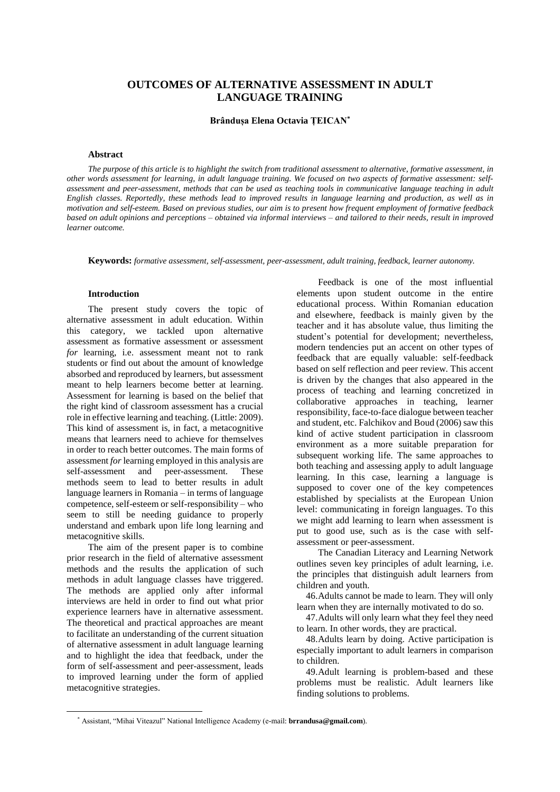# **OUTCOMES OF ALTERNATIVE ASSESSMENT IN ADULT LANGUAGE TRAINING**

**Brândușa Elena Octavia ȚEICAN\***

## **Abstract**

The purpose of this article is to highlight the switch from traditional assessment to alternative, formative assessment, in other words assessment for learning, in adult language training. We focused on two aspects of formative assessment: selfassessment and peer-assessment, methods that can be used as teaching tools in communicative language teaching in adult English classes. Reportedly, these methods lead to improved results in language learning and production, as well as in motivation and self-esteem. Based on previous studies, our aim is to present how frequent employment of formative feedback based on adult opinions and perceptions - obtained via informal interviews - and tailored to their needs, result in improved *learner outcome.*

**Keywords:** *formative assessment, self-assessment, peer-assessment, adult training, feedback, learner autonomy.*

#### **Introduction**

The present study covers the topic of alternative assessment in adult education. Within this category, we tackled upon alternative assessment as formative assessment or assessment *for* learning, i.e. assessment meant not to rank students or find out about the amount of knowledge absorbed and reproduced by learners, but assessment meant to help learners become better at learning. Assessment for learning is based on the belief that the right kind of classroom assessment has a crucial role in effective learning and teaching. (Little: 2009). This kind of assessment is, in fact, a metacognitive means that learners need to achieve for themselves in order to reach better outcomes. The main forms of assessment *for* learning employed in this analysis are self-assessment and peer-assessment. These self-assessment and peer-assessment. These methods seem to lead to better results in adult language learners in Romania – in terms of language competence, self-esteem or self-responsibility – who seem to still be needing guidance to properly understand and embark upon life long learning and metacognitive skills.

The aim of the present paper is to combine prior research in the field of alternative assessment methods and the results the application of such methods in adult language classes have triggered. The methods are applied only after informal interviews are held in order to find out what prior experience learners have in alternative assessment. The theoretical and practical approaches are meant to facilitate an understanding of the current situation of alternative assessment in adult language learning and to highlight the idea that feedback, under the form of self-assessment and peer-assessment, leads to improved learning under the form of applied metacognitive strategies.

Feedback is one of the most influential elements upon student outcome in the entire educational process. Within Romanian education and elsewhere, feedback is mainly given by the teacher and it has absolute value, thus limiting the student's potential for development; nevertheless, modern tendencies put an accent on other types of feedback that are equally valuable: self-feedback based on self reflection and peer review. This accent is driven by the changes that also appeared in the process of teaching and learning concretized in collaborative approaches in teaching, learner responsibility, face-to-face dialogue between teacher and student, etc. Falchikov and Boud (2006) saw this kind of active student participation in classroom environment as a more suitable preparation for subsequent working life. The same approaches to both teaching and assessing apply to adult language learning. In this case, learning a language is supposed to cover one of the key competences established by specialists at the European Union level: communicating in foreign languages. To this we might add learning to learn when assessment is put to good use, such as is the case with selfassessment or peer-assessment.

The Canadian Literacy and Learning Network outlines seven key principles of adult learning, i.e. the principles that distinguish adult learners from children and youth.

46.Adults cannot be made to learn. They will only learn when they are internally motivated to do so.

47.Adults will only learn what they feel they need to learn. In other words, they are practical.

48.Adults learn by doing. Active participation is especially important to adult learners in comparison to children.

49.Adult learning is problem-based and these problems must be realistic. Adult learners like finding solutions to problems.

<sup>\*</sup> Assistant, "Mihai Viteazul" National Intelligence Academy (e-mail: **brrandusa@gmail.com**).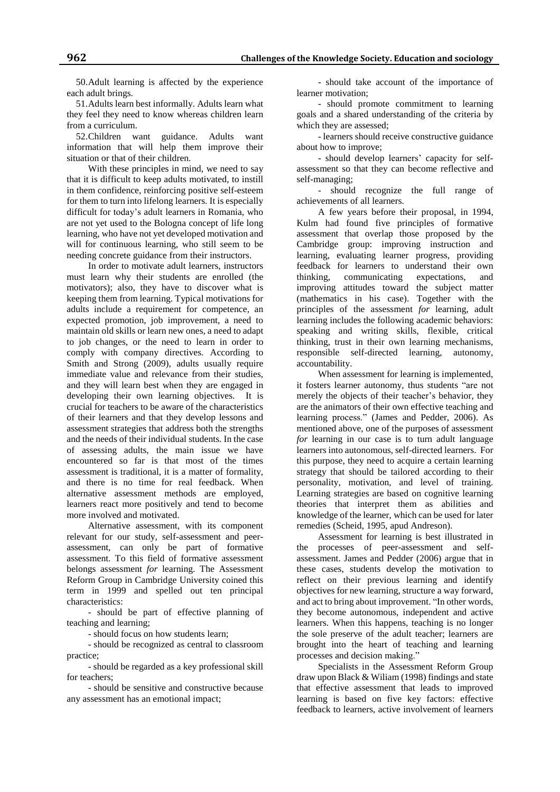50.Adult learning is affected by the experience each adult brings.

51.Adults learn best informally. Adults learn what they feel they need to know whereas children learn from a curriculum.

52.Children want guidance. Adults want information that will help them improve their situation or that of their children.

With these principles in mind, we need to say that it is difficult to keep adults motivated, to instill in them confidence, reinforcing positive self-esteem for them to turn into lifelong learners. It is especially difficult for today's adult learners in Romania, who are not yet used to the Bologna concept of life long learning, who have not yet developed motivation and will for continuous learning, who still seem to be needing concrete guidance from their instructors.

In order to motivate adult learners, instructors must learn why their students are enrolled (the motivators); also, they have to discover what is keeping them from learning. Typical motivations for adults include a requirement for competence, an expected promotion, job improvement, a need to maintain old skills or learn new ones, a need to adapt to job changes, or the need to learn in order to comply with company directives. According to Smith and Strong (2009), adults usually require immediate value and relevance from their studies, and they will learn best when they are engaged in developing their own learning objectives. It is crucial for teachers to be aware of the characteristics of their learners and that they develop lessons and assessment strategies that address both the strengths and the needs of their individual students. In the case of assessing adults, the main issue we have encountered so far is that most of the times assessment is traditional, it is a matter of formality, and there is no time for real feedback. When alternative assessment methods are employed, learners react more positively and tend to become more involved and motivated.

Alternative assessment, with its component relevant for our study, self-assessment and peerassessment, can only be part of formative assessment. To this field of formative assessment belongs assessment *for* learning. The Assessment Reform Group in Cambridge University coined this term in 1999 and spelled out ten principal characteristics:

- should be part of effective planning of teaching and learning;

- should focus on how students learn;

- should be recognized as central to classroom practice;

- should be regarded as a key professional skill for teachers;

- should be sensitive and constructive because any assessment has an emotional impact;

- should take account of the importance of learner motivation;

- should promote commitment to learning goals and a shared understanding of the criteria by which they are assessed;

- learners should receive constructive guidance about how to improve;

- should develop learners' capacity for selfassessment so that they can become reflective and self-managing;

- should recognize the full range of achievements of all learners.

A few years before their proposal, in 1994, Kulm had found five principles of formative assessment that overlap those proposed by the Cambridge group: improving instruction and learning, evaluating learner progress, providing feedback for learners to understand their own thinking, communicating expectations, and improving attitudes toward the subject matter (mathematics in his case). Together with the principles of the assessment *for* learning, adult learning includes the following academic behaviors: speaking and writing skills, flexible, critical thinking, trust in their own learning mechanisms, responsible self-directed learning, autonomy, accountability.

When assessment for learning is implemented, it fosters learner autonomy, thus students "are not merely the objects of their teacher's behavior, they are the animators of their own effective teaching and learning process." (James and Pedder, 2006). As mentioned above, one of the purposes of assessment *for* learning in our case is to turn adult language learners into autonomous, self-directed learners. For this purpose, they need to acquire a certain learning strategy that should be tailored according to their personality, motivation, and level of training. Learning strategies are based on cognitive learning theories that interpret them as abilities and knowledge of the learner, which can be used for later remedies (Scheid, 1995, apud Andreson).

Assessment for learning is best illustrated in the processes of peer-assessment and selfassessment. James and Pedder (2006) argue that in these cases, students develop the motivation to reflect on their previous learning and identify objectives for new learning, structure a way forward, and act to bring about improvement. "In other words, they become autonomous, independent and active learners. When this happens, teaching is no longer the sole preserve of the adult teacher; learners are brought into the heart of teaching and learning processes and decision making."

Specialists in the Assessment Reform Group draw upon Black & Wiliam (1998) findings and state that effective assessment that leads to improved learning is based on five key factors: effective feedback to learners, active involvement of learners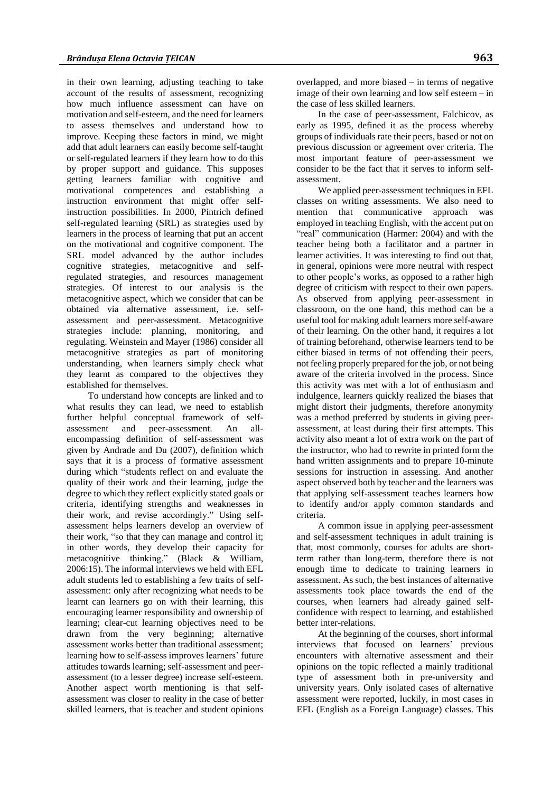in their own learning, adjusting teaching to take account of the results of assessment, recognizing how much influence assessment can have on motivation and self-esteem, and the need for learners to assess themselves and understand how to improve. Keeping these factors in mind, we might add that adult learners can easily become self-taught or self-regulated learners if they learn how to do this by proper support and guidance. This supposes getting learners familiar with cognitive and motivational competences and establishing a instruction environment that might offer selfinstruction possibilities. In 2000, Pintrich defined self-regulated learning (SRL) as strategies used by learners in the process of learning that put an accent on the motivational and cognitive component. The SRL model advanced by the author includes cognitive strategies, metacognitive and selfregulated strategies, and resources management strategies. Of interest to our analysis is the metacognitive aspect, which we consider that can be obtained via alternative assessment, i.e. selfassessment and peer-assessment. Metacognitive strategies include: planning, monitoring, and regulating. Weinstein and Mayer (1986) consider all metacognitive strategies as part of monitoring understanding, when learners simply check what they learnt as compared to the objectives they established for themselves.

To understand how concepts are linked and to what results they can lead, we need to establish further helpful conceptual framework of selfassessment and peer-assessment. An allencompassing definition of self-assessment was given by Andrade and Du (2007), definition which says that it is a process of formative assessment during which "students reflect on and evaluate the quality of their work and their learning, judge the degree to which they reflect explicitly stated goals or criteria, identifying strengths and weaknesses in their work, and revise accordingly." Using selfassessment helps learners develop an overview of their work, "so that they can manage and control it; in other words, they develop their capacity for metacognitive thinking." (Black & William, 2006:15). The informal interviews we held with EFL adult students led to establishing a few traits of selfassessment: only after recognizing what needs to be learnt can learners go on with their learning, this encouraging learner responsibility and ownership of learning; clear-cut learning objectives need to be drawn from the very beginning; alternative assessment works better than traditional assessment; learning how to self-assess improves learners' future attitudes towards learning; self-assessment and peerassessment (to a lesser degree) increase self-esteem. Another aspect worth mentioning is that selfassessment was closer to reality in the case of better skilled learners, that is teacher and student opinions

overlapped, and more biased – in terms of negative image of their own learning and low self esteem – in the case of less skilled learners.

In the case of peer-assessment, Falchicov, as early as 1995, defined it as the process whereby groups of individuals rate their peers, based or not on previous discussion or agreement over criteria. The most important feature of peer-assessment we consider to be the fact that it serves to inform selfassessment.

We applied peer-assessment techniques in EFL classes on writing assessments. We also need to mention that communicative approach was employed in teaching English, with the accent put on "real" communication (Harmer: 2004) and with the teacher being both a facilitator and a partner in learner activities. It was interesting to find out that, in general, opinions were more neutral with respect to other people's works, as opposed to a rather high degree of criticism with respect to their own papers. As observed from applying peer-assessment in classroom, on the one hand, this method can be a useful tool for making adult learners more self-aware of their learning. On the other hand, it requires a lot of training beforehand, otherwise learners tend to be either biased in terms of not offending their peers, not feeling properly prepared for the job, or not being aware of the criteria involved in the process. Since this activity was met with a lot of enthusiasm and indulgence, learners quickly realized the biases that might distort their judgments, therefore anonymity was a method preferred by students in giving peerassessment, at least during their first attempts. This activity also meant a lot of extra work on the part of the instructor, who had to rewrite in printed form the hand written assignments and to prepare 10-minute sessions for instruction in assessing. And another aspect observed both by teacher and the learners was that applying self-assessment teaches learners how to identify and/or apply common standards and criteria.

A common issue in applying peer-assessment and self-assessment techniques in adult training is that, most commonly, courses for adults are shortterm rather than long-term, therefore there is not enough time to dedicate to training learners in assessment. As such, the best instances of alternative assessments took place towards the end of the courses, when learners had already gained selfconfidence with respect to learning, and established better inter-relations.

At the beginning of the courses, short informal interviews that focused on learners' previous encounters with alternative assessment and their opinions on the topic reflected a mainly traditional type of assessment both in pre-university and university years. Only isolated cases of alternative assessment were reported, luckily, in most cases in EFL (English as a Foreign Language) classes. This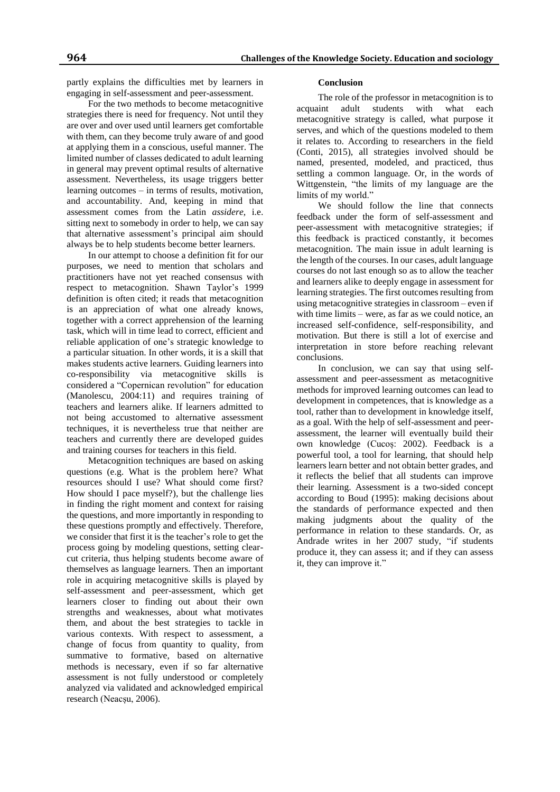partly explains the difficulties met by learners in engaging in self-assessment and peer-assessment.

For the two methods to become metacognitive strategies there is need for frequency. Not until they are over and over used until learners get comfortable with them, can they become truly aware of and good at applying them in a conscious, useful manner. The limited number of classes dedicated to adult learning in general may prevent optimal results of alternative assessment. Nevertheless, its usage triggers better learning outcomes – in terms of results, motivation, and accountability. And, keeping in mind that assessment comes from the Latin *assidere*, i.e. sitting next to somebody in order to help, we can say that alternative assessment's principal aim should always be to help students become better learners.

In our attempt to choose a definition fit for our purposes, we need to mention that scholars and practitioners have not yet reached consensus with respect to metacognition. Shawn Taylor's 1999 definition is often cited; it reads that metacognition is an appreciation of what one already knows, together with a correct apprehension of the learning task, which will in time lead to correct, efficient and reliable application of one's strategic knowledge to a particular situation. In other words, it is a skill that makes students active learners. Guiding learners into co-responsibility via metacognitive skills is considered a "Copernican revolution" for education (Manolescu, 2004:11) and requires training of teachers and learners alike. If learners admitted to not being accustomed to alternative assessment techniques, it is nevertheless true that neither are teachers and currently there are developed guides and training courses for teachers in this field.

Metacognition techniques are based on asking questions (e.g. What is the problem here? What resources should I use? What should come first? How should I pace myself?), but the challenge lies in finding the right moment and context for raising the questions, and more importantly in responding to these questions promptly and effectively. Therefore, we consider that first it is the teacher's role to get the process going by modeling questions, setting clearcut criteria, thus helping students become aware of themselves as language learners. Then an important role in acquiring metacognitive skills is played by self-assessment and peer-assessment, which get learners closer to finding out about their own strengths and weaknesses, about what motivates them, and about the best strategies to tackle in various contexts. With respect to assessment, a change of focus from quantity to quality, from summative to formative, based on alternative methods is necessary, even if so far alternative assessment is not fully understood or completely analyzed via validated and acknowledged empirical research (Neacsu, 2006).

## **Conclusion**

The role of the professor in metacognition is to<br>
int adult students with what each acquaint adult students with what each metacognitive strategy is called, what purpose it serves, and which of the questions modeled to them it relates to. According to researchers in the field (Conti, 2015), all strategies involved should be named, presented, modeled, and practiced, thus settling a common language. Or, in the words of Wittgenstein, "the limits of my language are the limits of my world."

We should follow the line that connects feedback under the form of self-assessment and peer-assessment with metacognitive strategies; if this feedback is practiced constantly, it becomes metacognition. The main issue in adult learning is the length of the courses. In our cases, adult language courses do not last enough so as to allow the teacher and learners alike to deeply engage in assessment for learning strategies. The first outcomes resulting from using metacognitive strategies in classroom – even if with time limits – were, as far as we could notice, an increased self-confidence, self-responsibility, and motivation. But there is still a lot of exercise and interpretation in store before reaching relevant conclusions.

In conclusion, we can say that using selfassessment and peer-assessment as metacognitive methods for improved learning outcomes can lead to development in competences, that is knowledge as a tool, rather than to development in knowledge itself, as a goal. With the help of self-assessment and peerassessment, the learner will eventually build their own knowledge (Cucoș: 2002). Feedback is a powerful tool, a tool for learning, that should help learners learn better and not obtain better grades, and it reflects the belief that all students can improve their learning. Assessment is a two-sided concept according to Boud (1995): making decisions about the standards of performance expected and then making judgments about the quality of the performance in relation to these standards. Or, as Andrade writes in her 2007 study, "if students produce it, they can assess it; and if they can assess it, they can improve it."